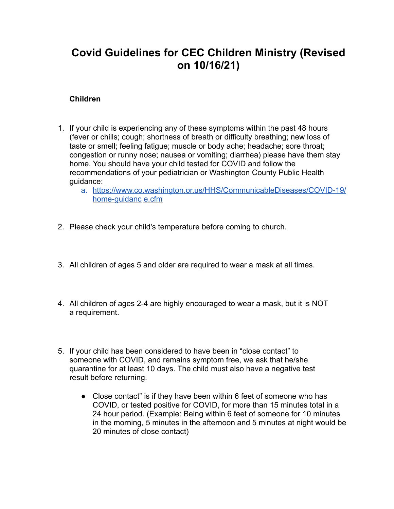## **Covid Guidelines for CEC Children Ministry (Revised on 10/16/21)**

## **Children**

- 1. If your child is experiencing any of these symptoms within the past 48 hours (fever or chills; cough; shortness of breath or difficulty breathing; new loss of taste or smell; feeling fatigue; muscle or body ache; headache; sore throat; congestion or runny nose; nausea or vomiting; diarrhea) please have them stay home. You should have your child tested for COVID and follow the recommendations of your pediatrician or Washington County Public Health guidance:
	- a. https://www.co.washington.or.us/HHS/CommunicableDiseases/COVID-19/ home-guidanc e.cfm
- 2. Please check your child's temperature before coming to church.
- 3. All children of ages 5 and older are required to wear a mask at all times.
- 4. All children of ages 2-4 are highly encouraged to wear a mask, but it is NOT a requirement.
- 5. If your child has been considered to have been in "close contact" to someone with COVID, and remains symptom free, we ask that he/she quarantine for at least 10 days. The child must also have a negative test result before returning.
	- Close contact" is if they have been within 6 feet of someone who has COVID, or tested positive for COVID, for more than 15 minutes total in a 24 hour period. (Example: Being within 6 feet of someone for 10 minutes in the morning, 5 minutes in the afternoon and 5 minutes at night would be 20 minutes of close contact)